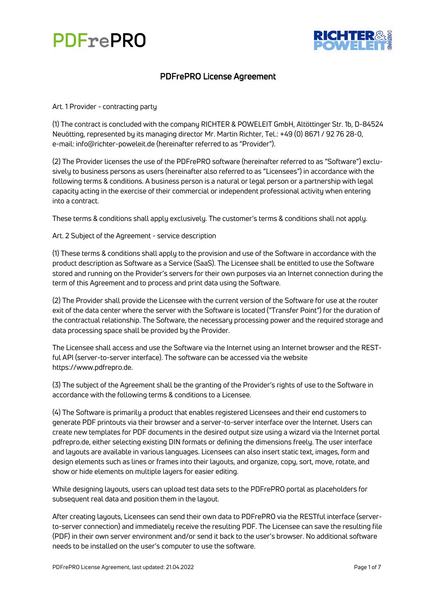



### PDFrePRO License Agreement

Art. 1 Provider - contracting party

(1) The contract is concluded with the company RICHTER & POWELEIT GmbH, Altöttinger Str. 1b, D-84524 Neuötting, represented by its managing director Mr. Martin Richter, Tel.: +49 (0) 8671 / 92 76 28-0, e-mail: info@richter-poweleit.de (hereinafter referred to as "Provider").

(2) The Provider licenses the use of the PDFrePRO software (hereinafter referred to as "Software") exclusively to business persons as users (hereinafter also referred to as "Licensees") in accordance with the following terms & conditions. A business person is a natural or legal person or a partnership with legal capacity acting in the exercise of their commercial or independent professional activity when entering into a contract.

These terms & conditions shall apply exclusively. The customer's terms & conditions shall not apply.

Art. 2 Subject of the Agreement - service description

(1) These terms & conditions shall apply to the provision and use of the Software in accordance with the product description as Software as a Service (SaaS). The Licensee shall be entitled to use the Software stored and running on the Provider's servers for their own purposes via an Internet connection during the term of this Agreement and to process and print data using the Software.

(2) The Provider shall provide the Licensee with the current version of the Software for use at the router exit of the data center where the server with the Software is located ("Transfer Point") for the duration of the contractual relationship. The Software, the necessary processing power and the required storage and data processing space shall be provided by the Provider.

The Licensee shall access and use the Software via the Internet using an Internet browser and the RESTful API (server-to-server interface). The software can be accessed via the website https://www.pdfrepro.de.

(3) The subject of the Agreement shall be the granting of the Provider's rights of use to the Software in accordance with the following terms & conditions to a Licensee.

(4) The Software is primarily a product that enables registered Licensees and their end customers to generate PDF printouts via their browser and a server-to-server interface over the Internet. Users can create new templates for PDF documents in the desired output size using a wizard via the Internet portal pdfrepro.de, either selecting existing DIN formats or defining the dimensions freely. The user interface and layouts are available in various languages. Licensees can also insert static text, images, form and design elements such as lines or frames into their layouts, and organize, copy, sort, move, rotate, and show or hide elements on multiple layers for easier editing.

While designing layouts, users can upload test data sets to the PDFrePRO portal as placeholders for subsequent real data and position them in the layout.

After creating layouts, Licensees can send their own data to PDFrePRO via the RESTful interface (serverto-server connection) and immediately receive the resulting PDF. The Licensee can save the resulting file (PDF) in their own server environment and/or send it back to the user's browser. No additional software needs to be installed on the user's computer to use the software.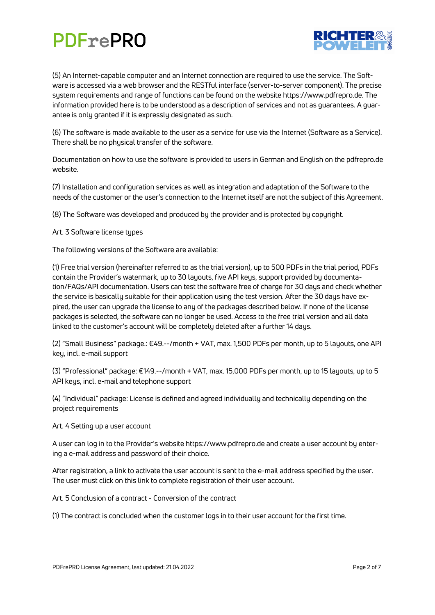

(5) An Internet-capable computer and an Internet connection are required to use the service. The Software is accessed via a web browser and the RESTful interface (server-to-server component). The precise system requirements and range of functions can be found on the website https://www.pdfrepro.de. The information provided here is to be understood as a description of services and not as guarantees. A guarantee is only granted if it is expressly designated as such.

(6) The software is made available to the user as a service for use via the Internet (Software as a Service). There shall be no physical transfer of the software.

Documentation on how to use the software is provided to users in German and English on the pdfrepro.de website.

(7) Installation and configuration services as well as integration and adaptation of the Software to the needs of the customer or the user's connection to the Internet itself are not the subject of this Agreement.

(8) The Software was developed and produced by the provider and is protected by copyright.

Art. 3 Software license types

The following versions of the Software are available:

(1) Free trial version (hereinafter referred to as the trial version), up to 500 PDFs in the trial period, PDFs contain the Provider's watermark, up to 30 layouts, five API keys, support provided by documentation/FAQs/API documentation. Users can test the software free of charge for 30 days and check whether the service is basically suitable for their application using the test version. After the 30 days have expired, the user can upgrade the license to any of the packages described below. If none of the license packages is selected, the software can no longer be used. Access to the free trial version and all data linked to the customer's account will be completely deleted after a further 14 days.

(2) "Small Business" package.: €49.--/month + VAT, max. 1,500 PDFs per month, up to 5 layouts, one API key, incl. e-mail support

(3) "Professional" package: €149.--/month + VAT, max. 15,000 PDFs per month, up to 15 layouts, up to 5 API keys, incl. e-mail and telephone support

(4) "Individual" package: License is defined and agreed individually and technically depending on the project requirements

Art. 4 Setting up a user account

A user can log in to the Provider's website https://www.pdfrepro.de and create a user account by entering a e-mail address and password of their choice.

After registration, a link to activate the user account is sent to the e-mail address specified by the user. The user must click on this link to complete registration of their user account.

Art. 5 Conclusion of a contract - Conversion of the contract

(1) The contract is concluded when the customer logs in to their user account for the first time.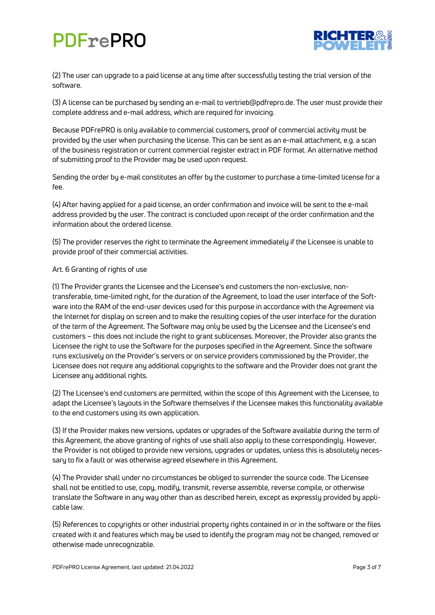

(2) The user can upgrade to a paid license at any time after successfully testing the trial version of the software.

(3) A license can be purchased by sending an e-mail to vertrieb@pdfrepro.de. The user must provide their complete address and e-mail address, which are required for invoicing.

Because PDFrePRO is only available to commercial customers, proof of commercial activity must be provided by the user when purchasing the license. This can be sent as an e-mail attachment, e.g. a scan of the business registration or current commercial register extract in PDF format. An alternative method of submitting proof to the Provider may be used upon request.

Sending the order by e-mail constitutes an offer by the customer to purchase a time-limited license for a fee.

(4) After having applied for a paid license, an order confirmation and invoice will be sent to the e-mail address provided by the user. The contract is concluded upon receipt of the order confirmation and the information about the ordered license.

(5) The provider reserves the right to terminate the Agreement immediately if the Licensee is unable to provide proof of their commercial activities.

### Art. 6 Granting of rights of use

(1) The Provider grants the Licensee and the Licensee's end customers the non-exclusive, nontransferable, time-limited right, for the duration of the Agreement, to load the user interface of the Software into the RAM of the end-user devices used for this purpose in accordance with the Agreement via the Internet for display on screen and to make the resulting copies of the user interface for the duration of the term of the Agreement. The Software may only be used by the Licensee and the Licensee's end customers – this does not include the right to grant sublicenses. Moreover, the Provider also grants the Licensee the right to use the Software for the purposes specified in the Agreement. Since the software runs exclusively on the Provider's servers or on service providers commissioned by the Provider, the Licensee does not require any additional copyrights to the software and the Provider does not grant the Licensee any additional rights.

(2) The Licensee's end customers are permitted, within the scope of this Agreement with the Licensee, to adapt the Licensee's layouts in the Software themselves if the Licensee makes this functionality available to the end customers using its own application.

(3) If the Provider makes new versions, updates or upgrades of the Software available during the term of this Agreement, the above granting of rights of use shall also apply to these correspondingly. However, the Provider is not obliged to provide new versions, upgrades or updates, unless this is absolutely necessary to fix a fault or was otherwise agreed elsewhere in this Agreement.

(4) The Provider shall under no circumstances be obliged to surrender the source code. The Licensee shall not be entitled to use, copy, modify, transmit, reverse assemble, reverse compile, or otherwise translate the Software in any way other than as described herein, except as expressly provided by applicable law.

(5) References to copyrights or other industrial property rights contained in or in the software or the files created with it and features which may be used to identify the program may not be changed, removed or otherwise made unrecognizable.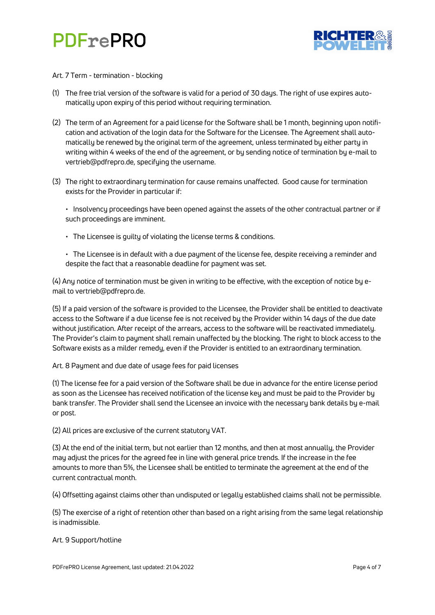



#### Art. 7 Term - termination - blocking

- (1) The free trial version of the software is valid for a period of 30 days. The right of use expires automatically upon expiry of this period without requiring termination.
- (2) The term of an Agreement for a paid license for the Software shall be 1 month, beginning upon notification and activation of the login data for the Software for the Licensee. The Agreement shall automatically be renewed by the original term of the agreement, unless terminated by either party in writing within 4 weeks of the end of the agreement, or by sending notice of termination by e-mail to vertrieb@pdfrepro.de, specifying the username.
- (3) The right to extraordinary termination for cause remains unaffected. Good cause for termination exists for the Provider in particular if:

• Insolvency proceedings have been opened against the assets of the other contractual partner or if such proceedings are imminent.

- The Licensee is guilty of violating the license terms & conditions.
- The Licensee is in default with a due payment of the license fee, despite receiving a reminder and despite the fact that a reasonable deadline for payment was set.

(4) Any notice of termination must be given in writing to be effective, with the exception of notice by email to vertrieb@pdfrepro.de.

(5) If a paid version of the software is provided to the Licensee, the Provider shall be entitled to deactivate access to the Software if a due license fee is not received by the Provider within 14 days of the due date without justification. After receipt of the arrears, access to the software will be reactivated immediately. The Provider's claim to payment shall remain unaffected by the blocking. The right to block access to the Software exists as a milder remedy, even if the Provider is entitled to an extraordinary termination.

Art. 8 Payment and due date of usage fees for paid licenses

(1) The license fee for a paid version of the Software shall be due in advance for the entire license period as soon as the Licensee has received notification of the license key and must be paid to the Provider by bank transfer. The Provider shall send the Licensee an invoice with the necessary bank details by e-mail or post.

(2) All prices are exclusive of the current statutory VAT.

(3) At the end of the initial term, but not earlier than 12 months, and then at most annually, the Provider may adjust the prices for the agreed fee in line with general price trends. If the increase in the fee amounts to more than 5%, the Licensee shall be entitled to terminate the agreement at the end of the current contractual month.

(4) Offsetting against claims other than undisputed or legally established claims shall not be permissible.

(5) The exercise of a right of retention other than based on a right arising from the same legal relationship is inadmissible.

Art. 9 Support/hotline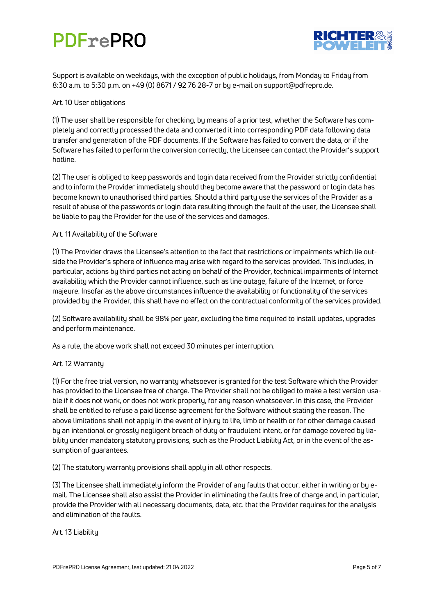

Support is available on weekdays, with the exception of public holidays, from Monday to Friday from 8:30 a.m. to 5:30 p.m. on +49 (0) 8671 / 92 76 28-7 or by e-mail on support@pdfrepro.de.

### Art. 10 User obligations

(1) The user shall be responsible for checking, by means of a prior test, whether the Software has completely and correctly processed the data and converted it into corresponding PDF data following data transfer and generation of the PDF documents. If the Software has failed to convert the data, or if the Software has failed to perform the conversion correctly, the Licensee can contact the Provider's support hotline.

(2) The user is obliged to keep passwords and login data received from the Provider strictly confidential and to inform the Provider immediately should they become aware that the password or login data has become known to unauthorised third parties. Should a third party use the services of the Provider as a result of abuse of the passwords or login data resulting through the fault of the user, the Licensee shall be liable to pay the Provider for the use of the services and damages.

### Art. 11 Availability of the Software

(1) The Provider draws the Licensee's attention to the fact that restrictions or impairments which lie outside the Provider's sphere of influence may arise with regard to the services provided. This includes, in particular, actions by third parties not acting on behalf of the Provider, technical impairments of Internet availability which the Provider cannot influence, such as line outage, failure of the Internet, or force majeure. Insofar as the above circumstances influence the availability or functionality of the services provided by the Provider, this shall have no effect on the contractual conformity of the services provided.

(2) Software availability shall be 98% per year, excluding the time required to install updates, upgrades and perform maintenance.

As a rule, the above work shall not exceed 30 minutes per interruption.

### Art. 12 Warranty

(1) For the free trial version, no warranty whatsoever is granted for the test Software which the Provider has provided to the Licensee free of charge. The Provider shall not be obliged to make a test version usable if it does not work, or does not work properly, for any reason whatsoever. In this case, the Provider shall be entitled to refuse a paid license agreement for the Software without stating the reason. The above limitations shall not apply in the event of injury to life, limb or health or for other damage caused by an intentional or grossly negligent breach of duty or fraudulent intent, or for damage covered by liability under mandatory statutory provisions, such as the Product Liability Act, or in the event of the assumption of guarantees.

(2) The statutory warranty provisions shall apply in all other respects.

(3) The Licensee shall immediately inform the Provider of any faults that occur, either in writing or by email. The Licensee shall also assist the Provider in eliminating the faults free of charge and, in particular, provide the Provider with all necessary documents, data, etc. that the Provider requires for the analysis and elimination of the faults.

### Art. 13 Liability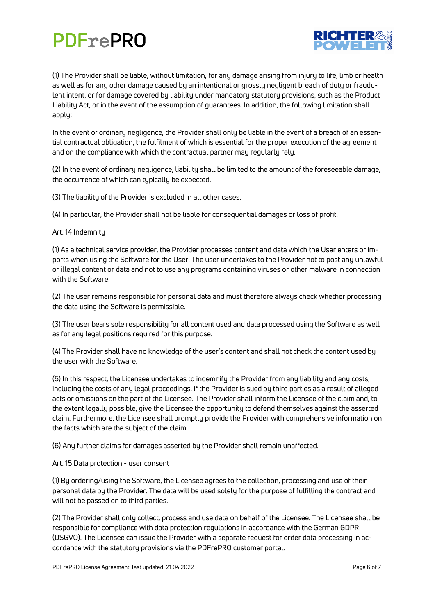

(1) The Provider shall be liable, without limitation, for any damage arising from injury to life, limb or health as well as for any other damage caused by an intentional or grossly negligent breach of duty or fraudulent intent, or for damage covered by liability under mandatory statutory provisions, such as the Product Liability Act, or in the event of the assumption of guarantees. In addition, the following limitation shall apply:

In the event of ordinary negligence, the Provider shall only be liable in the event of a breach of an essential contractual obligation, the fulfilment of which is essential for the proper execution of the agreement and on the compliance with which the contractual partner may regularly rely.

(2) In the event of ordinary negligence, liability shall be limited to the amount of the foreseeable damage, the occurrence of which can typically be expected.

(3) The liability of the Provider is excluded in all other cases.

(4) In particular, the Provider shall not be liable for consequential damages or loss of profit.

#### Art. 14 Indemnity

(1) As a technical service provider, the Provider processes content and data which the User enters or imports when using the Software for the User. The user undertakes to the Provider not to post any unlawful or illegal content or data and not to use any programs containing viruses or other malware in connection with the Software.

(2) The user remains responsible for personal data and must therefore always check whether processing the data using the Software is permissible.

(3) The user bears sole responsibility for all content used and data processed using the Software as well as for any legal positions required for this purpose.

(4) The Provider shall have no knowledge of the user's content and shall not check the content used by the user with the Software.

(5) In this respect, the Licensee undertakes to indemnify the Provider from any liability and any costs, including the costs of any legal proceedings, if the Provider is sued by third parties as a result of alleged acts or omissions on the part of the Licensee. The Provider shall inform the Licensee of the claim and, to the extent legally possible, give the Licensee the opportunity to defend themselves against the asserted claim. Furthermore, the Licensee shall promptly provide the Provider with comprehensive information on the facts which are the subject of the claim.

(6) Any further claims for damages asserted by the Provider shall remain unaffected.

Art. 15 Data protection - user consent

(1) By ordering/using the Software, the Licensee agrees to the collection, processing and use of their personal data by the Provider. The data will be used solely for the purpose of fulfilling the contract and will not be passed on to third parties.

(2) The Provider shall only collect, process and use data on behalf of the Licensee. The Licensee shall be responsible for compliance with data protection regulations in accordance with the German GDPR (DSGVO). The Licensee can issue the Provider with a separate request for order data processing in accordance with the statutory provisions via the PDFrePRO customer portal.